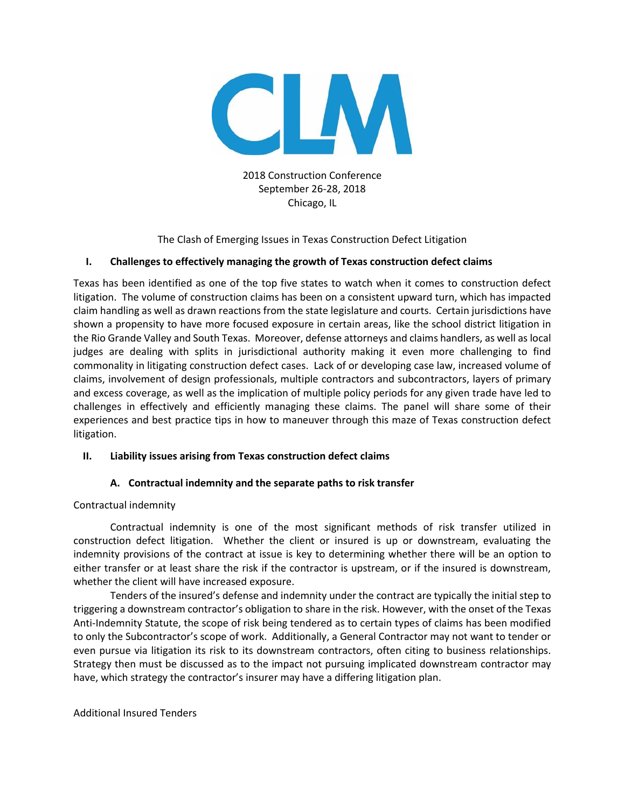

2018 Construction Conference September 26-28, 2018 Chicago, IL

The Clash of Emerging Issues in Texas Construction Defect Litigation

# **I. Challenges to effectively managing the growth of Texas construction defect claims**

Texas has been identified as one of the top five states to watch when it comes to construction defect litigation. The volume of construction claims has been on a consistent upward turn, which has impacted claim handling as well as drawn reactions from the state legislature and courts. Certain jurisdictions have shown a propensity to have more focused exposure in certain areas, like the school district litigation in the Rio Grande Valley and South Texas. Moreover, defense attorneys and claims handlers, as well as local judges are dealing with splits in jurisdictional authority making it even more challenging to find commonality in litigating construction defect cases. Lack of or developing case law, increased volume of claims, involvement of design professionals, multiple contractors and subcontractors, layers of primary and excess coverage, as well as the implication of multiple policy periods for any given trade have led to challenges in effectively and efficiently managing these claims. The panel will share some of their experiences and best practice tips in how to maneuver through this maze of Texas construction defect litigation.

## **II. Liability issues arising from Texas construction defect claims**

# **A. Contractual indemnity and the separate paths to risk transfer**

## Contractual indemnity

Contractual indemnity is one of the most significant methods of risk transfer utilized in construction defect litigation. Whether the client or insured is up or downstream, evaluating the indemnity provisions of the contract at issue is key to determining whether there will be an option to either transfer or at least share the risk if the contractor is upstream, or if the insured is downstream, whether the client will have increased exposure.

Tenders of the insured's defense and indemnity under the contract are typically the initial step to triggering a downstream contractor's obligation to share in the risk. However, with the onset of the Texas Anti-Indemnity Statute, the scope of risk being tendered as to certain types of claims has been modified to only the Subcontractor's scope of work. Additionally, a General Contractor may not want to tender or even pursue via litigation its risk to its downstream contractors, often citing to business relationships. Strategy then must be discussed as to the impact not pursuing implicated downstream contractor may have, which strategy the contractor's insurer may have a differing litigation plan.

## Additional Insured Tenders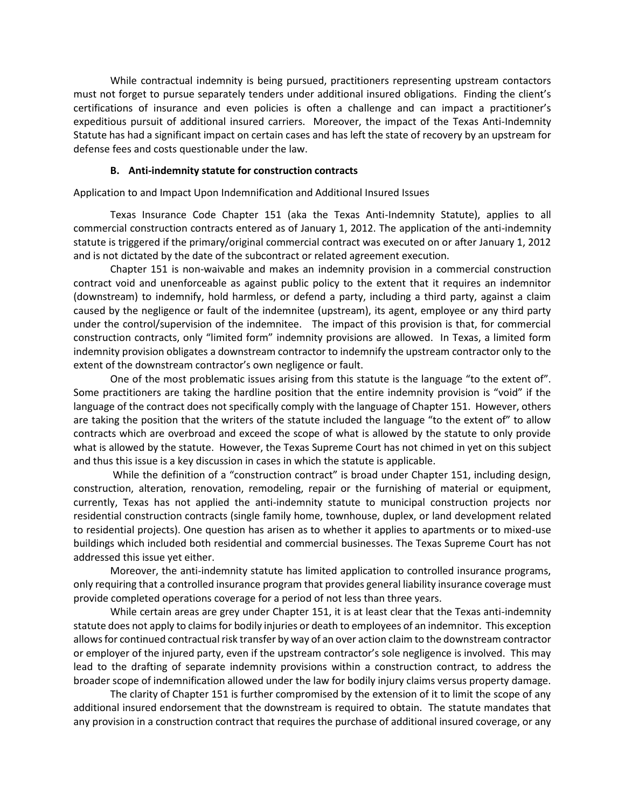While contractual indemnity is being pursued, practitioners representing upstream contactors must not forget to pursue separately tenders under additional insured obligations. Finding the client's certifications of insurance and even policies is often a challenge and can impact a practitioner's expeditious pursuit of additional insured carriers. Moreover, the impact of the Texas Anti-Indemnity Statute has had a significant impact on certain cases and has left the state of recovery by an upstream for defense fees and costs questionable under the law.

### **B. Anti-indemnity statute for construction contracts**

Application to and Impact Upon Indemnification and Additional Insured Issues

Texas Insurance Code Chapter 151 (aka the Texas Anti-Indemnity Statute), applies to all commercial construction contracts entered as of January 1, 2012. The application of the anti-indemnity statute is triggered if the primary/original commercial contract was executed on or after January 1, 2012 and is not dictated by the date of the subcontract or related agreement execution.

Chapter 151 is non-waivable and makes an indemnity provision in a commercial construction contract void and unenforceable as against public policy to the extent that it requires an indemnitor (downstream) to indemnify, hold harmless, or defend a party, including a third party, against a claim caused by the negligence or fault of the indemnitee (upstream), its agent, employee or any third party under the control/supervision of the indemnitee. The impact of this provision is that, for commercial construction contracts, only "limited form" indemnity provisions are allowed. In Texas, a limited form indemnity provision obligates a downstream contractor to indemnify the upstream contractor only to the extent of the downstream contractor's own negligence or fault.

One of the most problematic issues arising from this statute is the language "to the extent of". Some practitioners are taking the hardline position that the entire indemnity provision is "void" if the language of the contract does not specifically comply with the language of Chapter 151. However, others are taking the position that the writers of the statute included the language "to the extent of" to allow contracts which are overbroad and exceed the scope of what is allowed by the statute to only provide what is allowed by the statute. However, the Texas Supreme Court has not chimed in yet on this subject and thus this issue is a key discussion in cases in which the statute is applicable.

While the definition of a "construction contract" is broad under Chapter 151, including design, construction, alteration, renovation, remodeling, repair or the furnishing of material or equipment, currently, Texas has not applied the anti-indemnity statute to municipal construction projects nor residential construction contracts (single family home, townhouse, duplex, or land development related to residential projects). One question has arisen as to whether it applies to apartments or to mixed-use buildings which included both residential and commercial businesses. The Texas Supreme Court has not addressed this issue yet either.

Moreover, the anti-indemnity statute has limited application to controlled insurance programs, only requiring that a controlled insurance program that provides general liability insurance coverage must provide completed operations coverage for a period of not less than three years.

While certain areas are grey under Chapter 151, it is at least clear that the Texas anti-indemnity statute does not apply to claims for bodily injuries or death to employees of an indemnitor. This exception allows for continued contractual risk transfer by way of an over action claim to the downstream contractor or employer of the injured party, even if the upstream contractor's sole negligence is involved. This may lead to the drafting of separate indemnity provisions within a construction contract, to address the broader scope of indemnification allowed under the law for bodily injury claims versus property damage.

The clarity of Chapter 151 is further compromised by the extension of it to limit the scope of any additional insured endorsement that the downstream is required to obtain. The statute mandates that any provision in a construction contract that requires the purchase of additional insured coverage, or any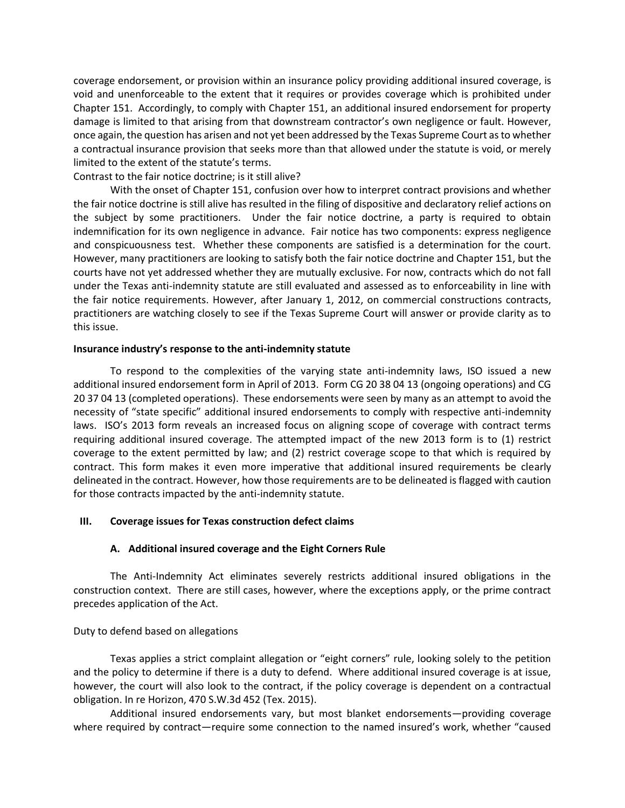coverage endorsement, or provision within an insurance policy providing additional insured coverage, is void and unenforceable to the extent that it requires or provides coverage which is prohibited under Chapter 151. Accordingly, to comply with Chapter 151, an additional insured endorsement for property damage is limited to that arising from that downstream contractor's own negligence or fault. However, once again, the question has arisen and not yet been addressed by the Texas Supreme Court as to whether a contractual insurance provision that seeks more than that allowed under the statute is void, or merely limited to the extent of the statute's terms.

Contrast to the fair notice doctrine; is it still alive?

With the onset of Chapter 151, confusion over how to interpret contract provisions and whether the fair notice doctrine is still alive has resulted in the filing of dispositive and declaratory relief actions on the subject by some practitioners. Under the fair notice doctrine, a party is required to obtain indemnification for its own negligence in advance. Fair notice has two components: express negligence and conspicuousness test. Whether these components are satisfied is a determination for the court. However, many practitioners are looking to satisfy both the fair notice doctrine and Chapter 151, but the courts have not yet addressed whether they are mutually exclusive. For now, contracts which do not fall under the Texas anti-indemnity statute are still evaluated and assessed as to enforceability in line with the fair notice requirements. However, after January 1, 2012, on commercial constructions contracts, practitioners are watching closely to see if the Texas Supreme Court will answer or provide clarity as to this issue.

### **Insurance industry's response to the anti-indemnity statute**

To respond to the complexities of the varying state anti-indemnity laws, ISO issued a new additional insured endorsement form in April of 2013. Form CG 20 38 04 13 (ongoing operations) and CG 20 37 04 13 (completed operations). These endorsements were seen by many as an attempt to avoid the necessity of "state specific" additional insured endorsements to comply with respective anti-indemnity laws. ISO's 2013 form reveals an increased focus on aligning scope of coverage with contract terms requiring additional insured coverage. The attempted impact of the new 2013 form is to (1) restrict coverage to the extent permitted by law; and (2) restrict coverage scope to that which is required by contract. This form makes it even more imperative that additional insured requirements be clearly delineated in the contract. However, how those requirements are to be delineated is flagged with caution for those contracts impacted by the anti-indemnity statute.

## **III. Coverage issues for Texas construction defect claims**

## **A. Additional insured coverage and the Eight Corners Rule**

The Anti-Indemnity Act eliminates severely restricts additional insured obligations in the construction context. There are still cases, however, where the exceptions apply, or the prime contract precedes application of the Act.

## Duty to defend based on allegations

Texas applies a strict complaint allegation or "eight corners" rule, looking solely to the petition and the policy to determine if there is a duty to defend. Where additional insured coverage is at issue, however, the court will also look to the contract, if the policy coverage is dependent on a contractual obligation. In re Horizon, 470 S.W.3d 452 (Tex. 2015).

Additional insured endorsements vary, but most blanket endorsements—providing coverage where required by contract—require some connection to the named insured's work, whether "caused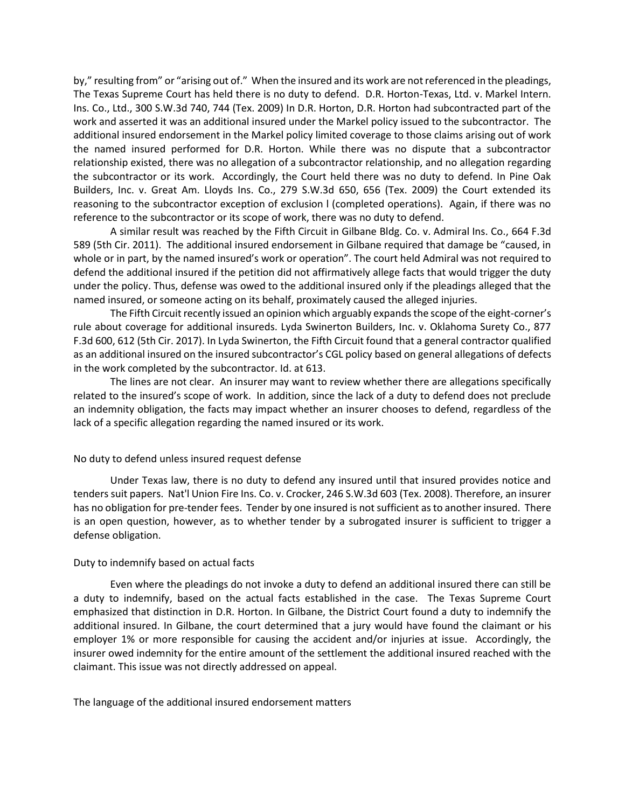by," resulting from" or "arising out of." When the insured and its work are not referenced in the pleadings, The Texas Supreme Court has held there is no duty to defend. D.R. Horton-Texas, Ltd. v. Markel Intern. Ins. Co., Ltd., 300 S.W.3d 740, 744 (Tex. 2009) In D.R. Horton, D.R. Horton had subcontracted part of the work and asserted it was an additional insured under the Markel policy issued to the subcontractor. The additional insured endorsement in the Markel policy limited coverage to those claims arising out of work the named insured performed for D.R. Horton. While there was no dispute that a subcontractor relationship existed, there was no allegation of a subcontractor relationship, and no allegation regarding the subcontractor or its work. Accordingly, the Court held there was no duty to defend. In Pine Oak Builders, Inc. v. Great Am. Lloyds Ins. Co., 279 S.W.3d 650, 656 (Tex. 2009) the Court extended its reasoning to the subcontractor exception of exclusion l (completed operations). Again, if there was no reference to the subcontractor or its scope of work, there was no duty to defend.

A similar result was reached by the Fifth Circuit in Gilbane Bldg. Co. v. Admiral Ins. Co., 664 F.3d 589 (5th Cir. 2011). The additional insured endorsement in Gilbane required that damage be "caused, in whole or in part, by the named insured's work or operation". The court held Admiral was not required to defend the additional insured if the petition did not affirmatively allege facts that would trigger the duty under the policy. Thus, defense was owed to the additional insured only if the pleadings alleged that the named insured, or someone acting on its behalf, proximately caused the alleged injuries.

The Fifth Circuit recently issued an opinion which arguably expands the scope of the eight-corner's rule about coverage for additional insureds. Lyda Swinerton Builders, Inc. v. Oklahoma Surety Co., 877 F.3d 600, 612 (5th Cir. 2017). In Lyda Swinerton, the Fifth Circuit found that a general contractor qualified as an additional insured on the insured subcontractor's CGL policy based on general allegations of defects in the work completed by the subcontractor. Id. at 613.

The lines are not clear. An insurer may want to review whether there are allegations specifically related to the insured's scope of work. In addition, since the lack of a duty to defend does not preclude an indemnity obligation, the facts may impact whether an insurer chooses to defend, regardless of the lack of a specific allegation regarding the named insured or its work.

### No duty to defend unless insured request defense

Under Texas law, there is no duty to defend any insured until that insured provides notice and tenders suit papers. Nat'l Union Fire Ins. Co. v. Crocker, 246 S.W.3d 603 (Tex. 2008). Therefore, an insurer has no obligation for pre-tender fees. Tender by one insured is not sufficient as to another insured. There is an open question, however, as to whether tender by a subrogated insurer is sufficient to trigger a defense obligation.

#### Duty to indemnify based on actual facts

Even where the pleadings do not invoke a duty to defend an additional insured there can still be a duty to indemnify, based on the actual facts established in the case. The Texas Supreme Court emphasized that distinction in D.R. Horton. In Gilbane, the District Court found a duty to indemnify the additional insured. In Gilbane, the court determined that a jury would have found the claimant or his employer 1% or more responsible for causing the accident and/or injuries at issue. Accordingly, the insurer owed indemnity for the entire amount of the settlement the additional insured reached with the claimant. This issue was not directly addressed on appeal.

The language of the additional insured endorsement matters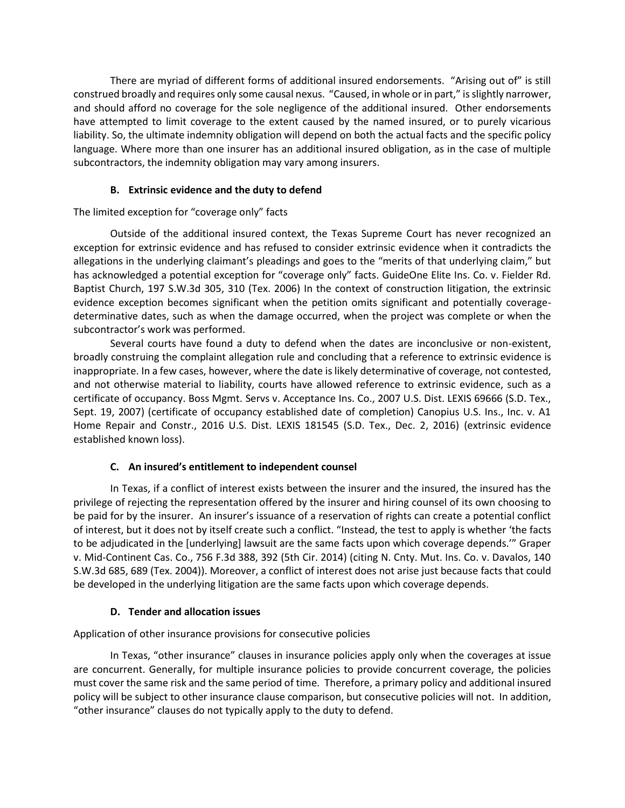There are myriad of different forms of additional insured endorsements. "Arising out of" is still construed broadly and requires only some causal nexus. "Caused, in whole or in part," is slightly narrower, and should afford no coverage for the sole negligence of the additional insured. Other endorsements have attempted to limit coverage to the extent caused by the named insured, or to purely vicarious liability. So, the ultimate indemnity obligation will depend on both the actual facts and the specific policy language. Where more than one insurer has an additional insured obligation, as in the case of multiple subcontractors, the indemnity obligation may vary among insurers.

# **B. Extrinsic evidence and the duty to defend**

# The limited exception for "coverage only" facts

Outside of the additional insured context, the Texas Supreme Court has never recognized an exception for extrinsic evidence and has refused to consider extrinsic evidence when it contradicts the allegations in the underlying claimant's pleadings and goes to the "merits of that underlying claim," but has acknowledged a potential exception for "coverage only" facts. GuideOne Elite Ins. Co. v. Fielder Rd. Baptist Church, 197 S.W.3d 305, 310 (Tex. 2006) In the context of construction litigation, the extrinsic evidence exception becomes significant when the petition omits significant and potentially coveragedeterminative dates, such as when the damage occurred, when the project was complete or when the subcontractor's work was performed.

Several courts have found a duty to defend when the dates are inconclusive or non-existent, broadly construing the complaint allegation rule and concluding that a reference to extrinsic evidence is inappropriate. In a few cases, however, where the date is likely determinative of coverage, not contested, and not otherwise material to liability, courts have allowed reference to extrinsic evidence, such as a certificate of occupancy. Boss Mgmt. Servs v. Acceptance Ins. Co., 2007 U.S. Dist. LEXIS 69666 (S.D. Tex., Sept. 19, 2007) (certificate of occupancy established date of completion) Canopius U.S. Ins., Inc. v. A1 Home Repair and Constr., 2016 U.S. Dist. LEXIS 181545 (S.D. Tex., Dec. 2, 2016) (extrinsic evidence established known loss).

## **C. An insured's entitlement to independent counsel**

In Texas, if a conflict of interest exists between the insurer and the insured, the insured has the privilege of rejecting the representation offered by the insurer and hiring counsel of its own choosing to be paid for by the insurer. An insurer's issuance of a reservation of rights can create a potential conflict of interest, but it does not by itself create such a conflict. "Instead, the test to apply is whether 'the facts to be adjudicated in the [underlying] lawsuit are the same facts upon which coverage depends.'" Graper v. Mid-Continent Cas. Co., 756 F.3d 388, 392 (5th Cir. 2014) (citing N. Cnty. Mut. Ins. Co. v. Davalos, 140 S.W.3d 685, 689 (Tex. 2004)). Moreover, a conflict of interest does not arise just because facts that could be developed in the underlying litigation are the same facts upon which coverage depends.

## **D. Tender and allocation issues**

Application of other insurance provisions for consecutive policies

In Texas, "other insurance" clauses in insurance policies apply only when the coverages at issue are concurrent. Generally, for multiple insurance policies to provide concurrent coverage, the policies must cover the same risk and the same period of time. Therefore, a primary policy and additional insured policy will be subject to other insurance clause comparison, but consecutive policies will not. In addition, "other insurance" clauses do not typically apply to the duty to defend.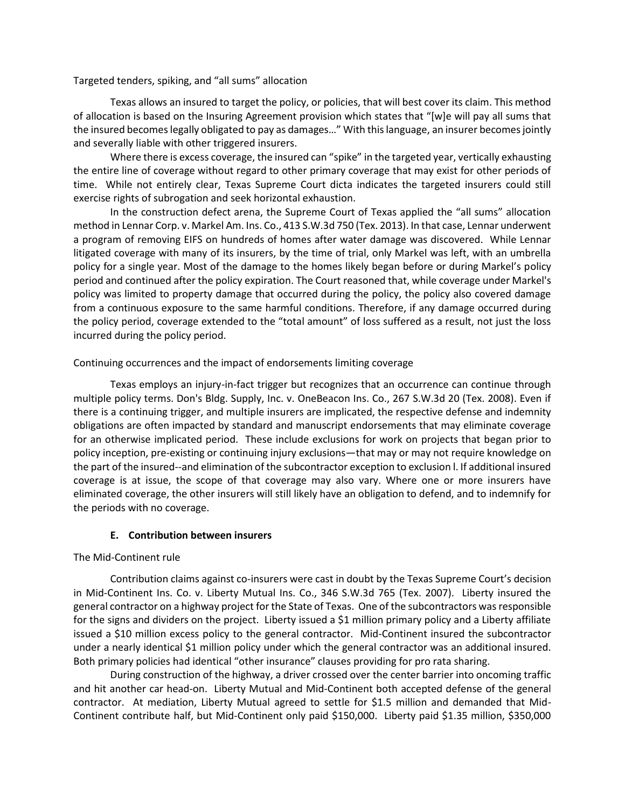Targeted tenders, spiking, and "all sums" allocation

Texas allows an insured to target the policy, or policies, that will best cover its claim. This method of allocation is based on the Insuring Agreement provision which states that "[w]e will pay all sums that the insured becomes legally obligated to pay as damages…" With this language, an insurer becomes jointly and severally liable with other triggered insurers.

Where there is excess coverage, the insured can "spike" in the targeted year, vertically exhausting the entire line of coverage without regard to other primary coverage that may exist for other periods of time. While not entirely clear, Texas Supreme Court dicta indicates the targeted insurers could still exercise rights of subrogation and seek horizontal exhaustion.

In the construction defect arena, the Supreme Court of Texas applied the "all sums" allocation method in Lennar Corp. v. Markel Am. Ins. Co., 413 S.W.3d 750 (Tex. 2013). In that case, Lennar underwent a program of removing EIFS on hundreds of homes after water damage was discovered. While Lennar litigated coverage with many of its insurers, by the time of trial, only Markel was left, with an umbrella policy for a single year. Most of the damage to the homes likely began before or during Markel's policy period and continued after the policy expiration. The Court reasoned that, while coverage under Markel's policy was limited to property damage that occurred during the policy, the policy also covered damage from a continuous exposure to the same harmful conditions. Therefore, if any damage occurred during the policy period, coverage extended to the "total amount" of loss suffered as a result, not just the loss incurred during the policy period.

### Continuing occurrences and the impact of endorsements limiting coverage

Texas employs an injury-in-fact trigger but recognizes that an occurrence can continue through multiple policy terms. Don's Bldg. Supply, Inc. v. OneBeacon Ins. Co., 267 S.W.3d 20 (Tex. 2008). Even if there is a continuing trigger, and multiple insurers are implicated, the respective defense and indemnity obligations are often impacted by standard and manuscript endorsements that may eliminate coverage for an otherwise implicated period. These include exclusions for work on projects that began prior to policy inception, pre-existing or continuing injury exclusions—that may or may not require knowledge on the part of the insured--and elimination of the subcontractor exception to exclusion l. If additional insured coverage is at issue, the scope of that coverage may also vary. Where one or more insurers have eliminated coverage, the other insurers will still likely have an obligation to defend, and to indemnify for the periods with no coverage.

### **E. Contribution between insurers**

## The Mid-Continent rule

Contribution claims against co-insurers were cast in doubt by the Texas Supreme Court's decision in Mid-Continent Ins. Co. v. Liberty Mutual Ins. Co., 346 S.W.3d 765 (Tex. 2007). Liberty insured the general contractor on a highway project for the State of Texas. One of the subcontractors was responsible for the signs and dividers on the project. Liberty issued a \$1 million primary policy and a Liberty affiliate issued a \$10 million excess policy to the general contractor. Mid-Continent insured the subcontractor under a nearly identical \$1 million policy under which the general contractor was an additional insured. Both primary policies had identical "other insurance" clauses providing for pro rata sharing.

During construction of the highway, a driver crossed over the center barrier into oncoming traffic and hit another car head-on. Liberty Mutual and Mid-Continent both accepted defense of the general contractor. At mediation, Liberty Mutual agreed to settle for \$1.5 million and demanded that Mid-Continent contribute half, but Mid-Continent only paid \$150,000. Liberty paid \$1.35 million, \$350,000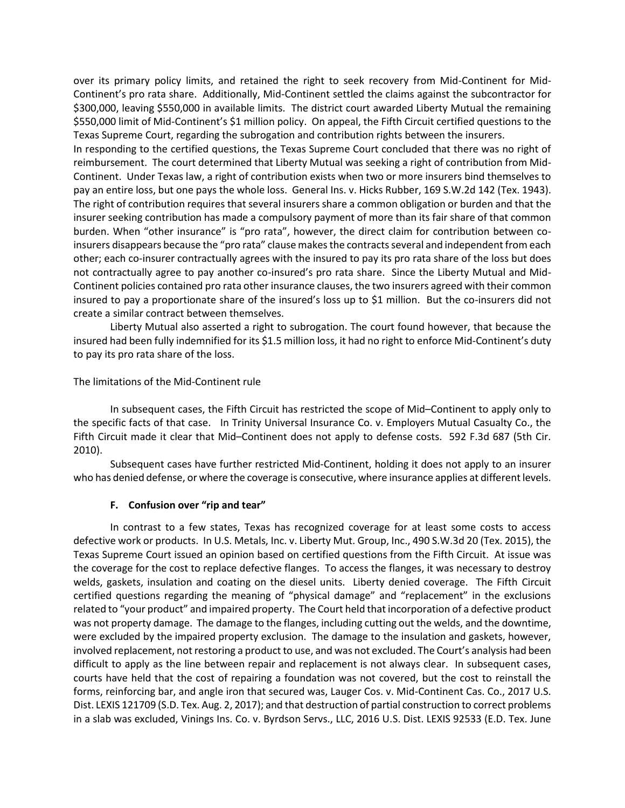over its primary policy limits, and retained the right to seek recovery from Mid-Continent for Mid-Continent's pro rata share. Additionally, Mid-Continent settled the claims against the subcontractor for \$300,000, leaving \$550,000 in available limits. The district court awarded Liberty Mutual the remaining \$550,000 limit of Mid-Continent's \$1 million policy. On appeal, the Fifth Circuit certified questions to the Texas Supreme Court, regarding the subrogation and contribution rights between the insurers.

In responding to the certified questions, the Texas Supreme Court concluded that there was no right of reimbursement. The court determined that Liberty Mutual was seeking a right of contribution from Mid-Continent. Under Texas law, a right of contribution exists when two or more insurers bind themselves to pay an entire loss, but one pays the whole loss. General Ins. v. Hicks Rubber, 169 S.W.2d 142 (Tex. 1943). The right of contribution requires that several insurers share a common obligation or burden and that the insurer seeking contribution has made a compulsory payment of more than its fair share of that common burden. When "other insurance" is "pro rata", however, the direct claim for contribution between coinsurers disappears because the "pro rata" clause makes the contracts several and independent from each other; each co-insurer contractually agrees with the insured to pay its pro rata share of the loss but does not contractually agree to pay another co-insured's pro rata share. Since the Liberty Mutual and Mid-Continent policies contained pro rata other insurance clauses, the two insurers agreed with their common insured to pay a proportionate share of the insured's loss up to \$1 million. But the co-insurers did not create a similar contract between themselves.

Liberty Mutual also asserted a right to subrogation. The court found however, that because the insured had been fully indemnified for its \$1.5 million loss, it had no right to enforce Mid-Continent's duty to pay its pro rata share of the loss.

#### The limitations of the Mid-Continent rule

In subsequent cases, the Fifth Circuit has restricted the scope of Mid–Continent to apply only to the specific facts of that case. In Trinity Universal Insurance Co. v. Employers Mutual Casualty Co., the Fifth Circuit made it clear that Mid–Continent does not apply to defense costs. 592 F.3d 687 (5th Cir. 2010).

Subsequent cases have further restricted Mid-Continent, holding it does not apply to an insurer who has denied defense, or where the coverage is consecutive, where insurance applies at different levels.

### **F. Confusion over "rip and tear"**

In contrast to a few states, Texas has recognized coverage for at least some costs to access defective work or products. In U.S. Metals, Inc. v. Liberty Mut. Group, Inc., 490 S.W.3d 20 (Tex. 2015), the Texas Supreme Court issued an opinion based on certified questions from the Fifth Circuit. At issue was the coverage for the cost to replace defective flanges. To access the flanges, it was necessary to destroy welds, gaskets, insulation and coating on the diesel units. Liberty denied coverage. The Fifth Circuit certified questions regarding the meaning of "physical damage" and "replacement" in the exclusions related to "your product" and impaired property. The Court held that incorporation of a defective product was not property damage. The damage to the flanges, including cutting out the welds, and the downtime, were excluded by the impaired property exclusion. The damage to the insulation and gaskets, however, involved replacement, not restoring a product to use, and was not excluded. The Court's analysis had been difficult to apply as the line between repair and replacement is not always clear. In subsequent cases, courts have held that the cost of repairing a foundation was not covered, but the cost to reinstall the forms, reinforcing bar, and angle iron that secured was, Lauger Cos. v. Mid-Continent Cas. Co., 2017 U.S. Dist. LEXIS 121709 (S.D. Tex. Aug. 2, 2017); and that destruction of partial construction to correct problems in a slab was excluded, Vinings Ins. Co. v. Byrdson Servs., LLC, 2016 U.S. Dist. LEXIS 92533 (E.D. Tex. June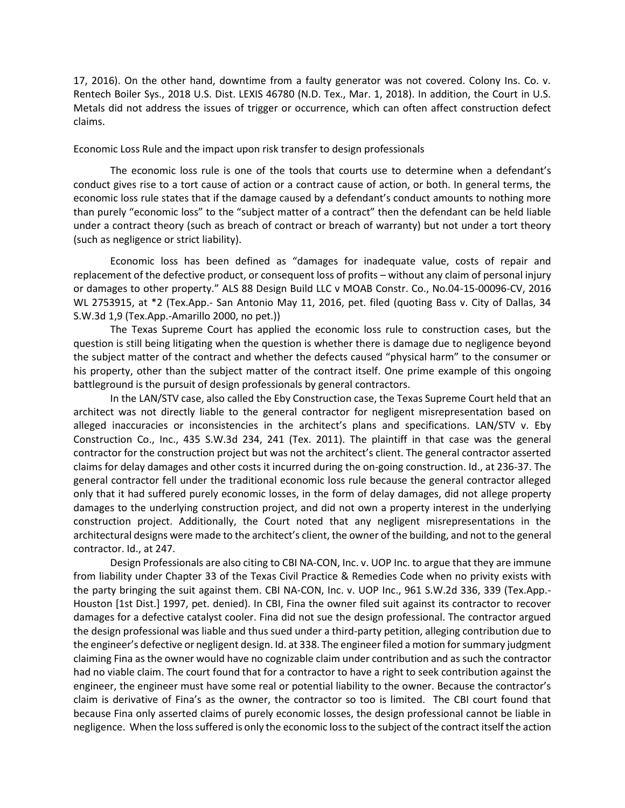17, 2016). On the other hand, downtime from a faulty generator was not covered. Colony Ins. Co. v. Rentech Boiler Sys., 2018 U.S. Dist. LEXIS 46780 (N.D. Tex., Mar. 1, 2018). In addition, the Court in U.S. Metals did not address the issues of trigger or occurrence, which can often affect construction defect claims.

#### Economic Loss Rule and the impact upon risk transfer to design professionals

The economic loss rule is one of the tools that courts use to determine when a defendant's conduct gives rise to a tort cause of action or a contract cause of action, or both. In general terms, the economic loss rule states that if the damage caused by a defendant's conduct amounts to nothing more than purely "economic loss" to the "subject matter of a contract" then the defendant can be held liable under a contract theory (such as breach of contract or breach of warranty) but not under a tort theory (such as negligence or strict liability).

Economic loss has been defined as "damages for inadequate value, costs of repair and replacement of the defective product, or consequent loss of profits – without any claim of personal injury or damages to other property." ALS 88 Design Build LLC v MOAB Constr. Co., No.04-15-00096-CV, 2016 WL 2753915, at \*2 (Tex.App.- San Antonio May 11, 2016, pet. filed (quoting Bass v. City of Dallas, 34 S.W.3d 1,9 (Tex.App.-Amarillo 2000, no pet.))

The Texas Supreme Court has applied the economic loss rule to construction cases, but the question is still being litigating when the question is whether there is damage due to negligence beyond the subject matter of the contract and whether the defects caused "physical harm" to the consumer or his property, other than the subject matter of the contract itself. One prime example of this ongoing battleground is the pursuit of design professionals by general contractors.

In the LAN/STV case, also called the Eby Construction case, the Texas Supreme Court held that an architect was not directly liable to the general contractor for negligent misrepresentation based on alleged inaccuracies or inconsistencies in the architect's plans and specifications. LAN/STV v. Eby Construction Co., Inc., 435 S.W.3d 234, 241 (Tex. 2011). The plaintiff in that case was the general contractor for the construction project but was not the architect's client. The general contractor asserted claims for delay damages and other costs it incurred during the on-going construction. Id., at 236-37. The general contractor fell under the traditional economic loss rule because the general contractor alleged only that it had suffered purely economic losses, in the form of delay damages, did not allege property damages to the underlying construction project, and did not own a property interest in the underlying construction project. Additionally, the Court noted that any negligent misrepresentations in the architectural designs were made to the architect's client, the owner of the building, and not to the general contractor. Id., at 247.

Design Professionals are also citing to CBI NA-CON, Inc. v. UOP Inc. to argue that they are immune from liability under Chapter 33 of the Texas Civil Practice & Remedies Code when no privity exists with the party bringing the suit against them. CBI NA-CON, Inc. v. UOP Inc., 961 S.W.2d 336, 339 (Tex.App.- Houston [1st Dist.] 1997, pet. denied). In CBI, Fina the owner filed suit against its contractor to recover damages for a defective catalyst cooler. Fina did not sue the design professional. The contractor argued the design professional was liable and thus sued under a third-party petition, alleging contribution due to the engineer's defective or negligent design. Id. at 338. The engineer filed a motion for summary judgment claiming Fina as the owner would have no cognizable claim under contribution and as such the contractor had no viable claim. The court found that for a contractor to have a right to seek contribution against the engineer, the engineer must have some real or potential liability to the owner. Because the contractor's claim is derivative of Fina's as the owner, the contractor so too is limited. The CBI court found that because Fina only asserted claims of purely economic losses, the design professional cannot be liable in negligence. When the loss suffered is only the economic loss to the subject of the contract itself the action